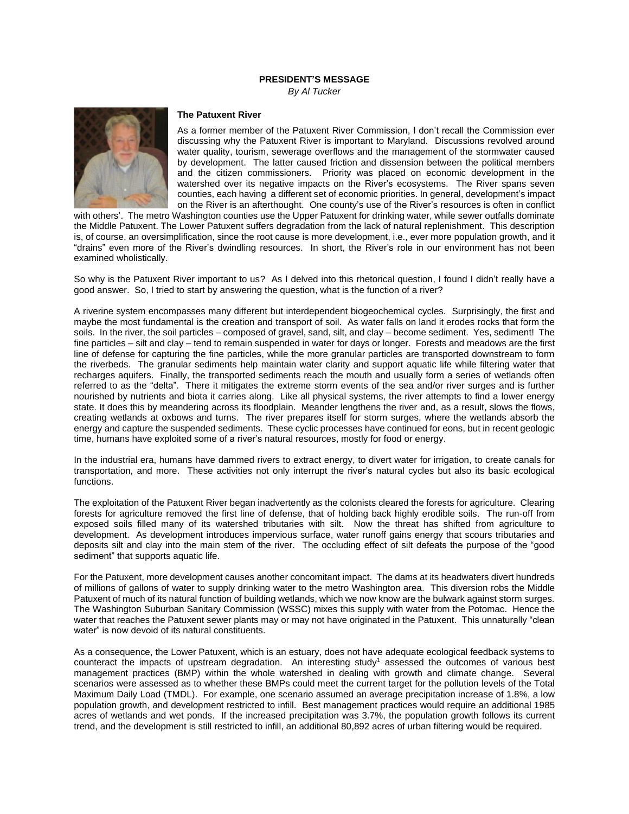## **PRESIDENT'S MESSAGE**

*By Al Tucker*



## **The Patuxent River**

As a former member of the Patuxent River Commission, I don't recall the Commission ever discussing why the Patuxent River is important to Maryland. Discussions revolved around water quality, tourism, sewerage overflows and the management of the stormwater caused by development. The latter caused friction and dissension between the political members and the citizen commissioners. Priority was placed on economic development in the watershed over its negative impacts on the River's ecosystems. The River spans seven counties, each having a different set of economic priorities. In general, development's impact on the River is an afterthought. One county's use of the River's resources is often in conflict

with others'. The metro Washington counties use the Upper Patuxent for drinking water, while sewer outfalls dominate the Middle Patuxent. The Lower Patuxent suffers degradation from the lack of natural replenishment. This description is, of course, an oversimplification, since the root cause is more development, i.e., ever more population growth, and it "drains" even more of the River's dwindling resources. In short, the River's role in our environment has not been examined wholistically.

So why is the Patuxent River important to us? As I delved into this rhetorical question, I found I didn't really have a good answer. So, I tried to start by answering the question, what is the function of a river?

A riverine system encompasses many different but interdependent biogeochemical cycles. Surprisingly, the first and maybe the most fundamental is the creation and transport of soil. As water falls on land it erodes rocks that form the soils. In the river, the soil particles – composed of gravel, sand, silt, and clay – become sediment. Yes, sediment! The fine particles – silt and clay – tend to remain suspended in water for days or longer. Forests and meadows are the first line of defense for capturing the fine particles, while the more granular particles are transported downstream to form the riverbeds. The granular sediments help maintain water clarity and support aquatic life while filtering water that recharges aquifers. Finally, the transported sediments reach the mouth and usually form a series of wetlands often referred to as the "delta". There it mitigates the extreme storm events of the sea and/or river surges and is further nourished by nutrients and biota it carries along. Like all physical systems, the river attempts to find a lower energy state. It does this by meandering across its floodplain. Meander lengthens the river and, as a result, slows the flows, creating wetlands at oxbows and turns. The river prepares itself for storm surges, where the wetlands absorb the energy and capture the suspended sediments. These cyclic processes have continued for eons, but in recent geologic time, humans have exploited some of a river's natural resources, mostly for food or energy.

In the industrial era, humans have dammed rivers to extract energy, to divert water for irrigation, to create canals for transportation, and more. These activities not only interrupt the river's natural cycles but also its basic ecological functions.

The exploitation of the Patuxent River began inadvertently as the colonists cleared the forests for agriculture. Clearing forests for agriculture removed the first line of defense, that of holding back highly erodible soils. The run-off from exposed soils filled many of its watershed tributaries with silt. Now the threat has shifted from agriculture to development. As development introduces impervious surface, water runoff gains energy that scours tributaries and deposits silt and clay into the main stem of the river. The occluding effect of silt defeats the purpose of the "good sediment" that supports aquatic life.

For the Patuxent, more development causes another concomitant impact. The dams at its headwaters divert hundreds of millions of gallons of water to supply drinking water to the metro Washington area. This diversion robs the Middle Patuxent of much of its natural function of building wetlands, which we now know are the bulwark against storm surges. The Washington Suburban Sanitary Commission (WSSC) mixes this supply with water from the Potomac. Hence the water that reaches the Patuxent sewer plants may or may not have originated in the Patuxent. This unnaturally "clean water" is now devoid of its natural constituents.

As a consequence, the Lower Patuxent, which is an estuary, does not have adequate ecological feedback systems to counteract the impacts of upstream degradation. An interesting study<sup>1</sup> assessed the outcomes of various best management practices (BMP) within the whole watershed in dealing with growth and climate change. Several scenarios were assessed as to whether these BMPs could meet the current target for the pollution levels of the Total Maximum Daily Load (TMDL). For example, one scenario assumed an average precipitation increase of 1.8%, a low population growth, and development restricted to infill. Best management practices would require an additional 1985 acres of wetlands and wet ponds. If the increased precipitation was 3.7%, the population growth follows its current trend, and the development is still restricted to infill, an additional 80,892 acres of urban filtering would be required.